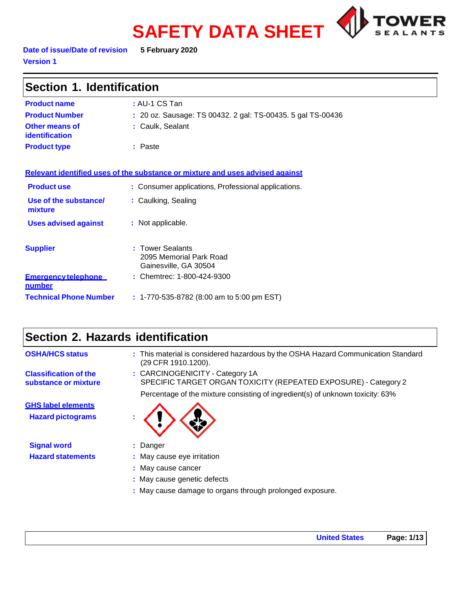# **SAFETY DATA SHEET**



**Date of issue/Date of revision 5 February 2020 Version 1**

| Section 1. Identification               |                                                                               |  |
|-----------------------------------------|-------------------------------------------------------------------------------|--|
| <b>Product name</b>                     | : AU-1 CS Tan                                                                 |  |
| <b>Product Number</b>                   | : 20 oz. Sausage: TS 00432. 2 gal: TS-00435. 5 gal TS-00436                   |  |
| Other means of<br><b>identification</b> | : Caulk, Sealant                                                              |  |
| <b>Product type</b>                     | : Paste                                                                       |  |
|                                         | Relevant identified uses of the substance or mixture and uses advised against |  |
| <b>Product use</b>                      | : Consumer applications, Professional applications.                           |  |
| Use of the substance/<br>mixture        | : Caulking, Sealing                                                           |  |
| <b>Uses advised against</b>             | : Not applicable.                                                             |  |
| <b>Supplier</b>                         | <b>Tower Sealants</b><br>2095 Memorial Park Road<br>Gainesville, GA 30504     |  |
| <b>Emergency telephone</b><br>number    | : Chemtrec: 1-800-424-9300                                                    |  |
| <b>Technical Phone Number</b>           | : 1-770-535-8782 (8:00 am to 5:00 pm EST)                                     |  |

# **Section 2. Hazards identification**

| <b>OSHA/HCS status</b>                               | : This material is considered hazardous by the OSHA Hazard Communication Standard<br>(29 CFR 1910.1200). |
|------------------------------------------------------|----------------------------------------------------------------------------------------------------------|
| <b>Classification of the</b><br>substance or mixture | : CARCINOGENICITY - Category 1A<br>SPECIFIC TARGET ORGAN TOXICITY (REPEATED EXPOSURE) - Category 2       |
|                                                      | Percentage of the mixture consisting of ingredient(s) of unknown toxicity: 63%                           |
| <b>GHS label elements</b>                            |                                                                                                          |
| <b>Hazard pictograms</b>                             |                                                                                                          |
| <b>Signal word</b>                                   | : Danger                                                                                                 |
| <b>Hazard statements</b>                             | : May cause eye irritation                                                                               |
|                                                      | : May cause cancer                                                                                       |
|                                                      | : May cause genetic defects                                                                              |
|                                                      | : May cause damage to organs through prolonged exposure.                                                 |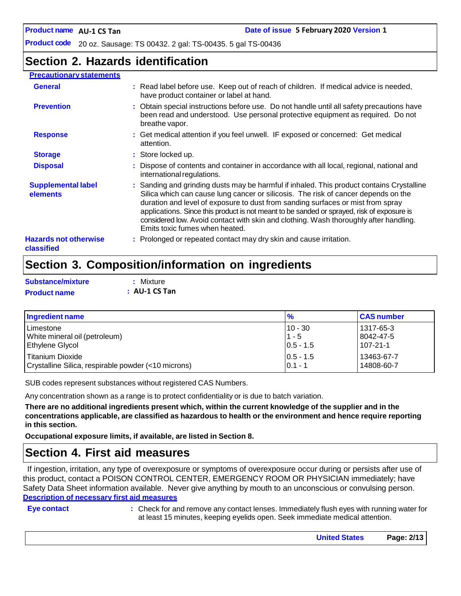# **Section 2. Hazards identification**

#### **Precautionary statements General :** Read label before use. Keep out of reach of children. If medical advice is needed, have product container or label at hand. **Prevention 1. Prevention 1. All instructions before use.** Do not handle until all safety precautions have been read and understood. Use personal protective equipment as required. Do not breathe vapor. **Response 1993 : Get medical attention if you feel unwell. IF exposed or concerned: Get medical** attention. **Storage 19.1 Store locked up. Disposal 19.1 : C** Dispose of contents and container in accordance with all local, regional, national and international regulations. **Supplemental label elements Hazards not otherwise classified :** Sanding and grinding dusts may be harmful if inhaled. This product contains Crystalline Silica which can cause lung cancer or silicosis. The risk of cancer depends on the duration and level of exposure to dust from sanding surfaces or mist from spray applications. Since this product is not meant to be sanded or sprayed, risk of exposure is considered low. Avoid contact with skin and clothing. Wash thoroughly after handling. Emits toxic fumes when heated. **:** Prolonged or repeated contact may dry skin and cause irritation.

# **Section 3. Composition/information on ingredients**

| Substance/mixture   | : Mixture       |
|---------------------|-----------------|
| <b>Product name</b> | $:$ AU-1 CS Tan |

| Ingredient name                                     | $\frac{9}{6}$ | <b>CAS number</b> |
|-----------------------------------------------------|---------------|-------------------|
| l Limestone                                         | $10 - 30$     | 1317-65-3         |
| White mineral oil (petroleum)                       | $1 - 5$       | 8042-47-5         |
| <b>Ethylene Glycol</b>                              | $0.5 - 1.5$   | 107-21-1          |
| l Titanium Dioxide                                  | $ 0.5 - 1.5 $ | 13463-67-7        |
| Crystalline Silica, respirable powder (<10 microns) | $0.1 - 1$     | 14808-60-7        |

SUB codes represent substances without registered CAS Numbers.

Any concentration shown as a range is to protect confidentiality or is due to batch variation.

There are no additional ingredients present which, within the current knowledge of the supplier and in the **concentrations applicable, are classified as hazardous to health or the environment and hence require reporting in this section.**

**Occupational exposure limits, if available, are listed in Section 8.**

### **Section 4. First aid measures**

If ingestion, irritation, any type of overexposure or symptoms of overexposure occur during or persists after use of this product, contact a POISON CONTROL CENTER, EMERGENCY ROOM OR PHYSICIAN immediately; have Safety Data Sheet information available. Never give anything by mouth to an unconscious or convulsing person. **Description of necessary first aid measures**

**Eye contact :** Check for and remove any contact lenses. Immediately flush eyes with running water for at least 15 minutes, keeping eyelids open. Seek immediate medical attention.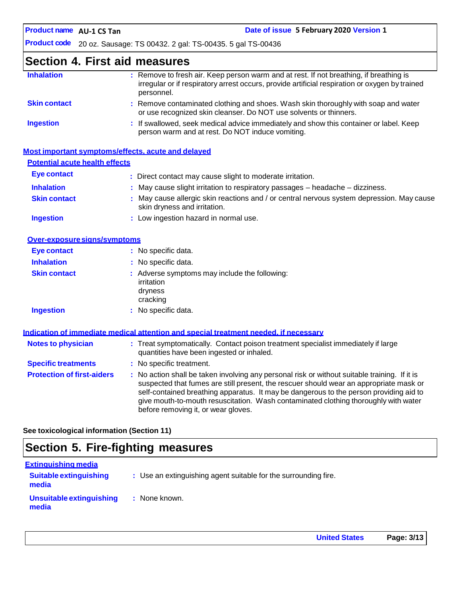# **Section 4. First aid measures**

| <b>Inhalation</b>   | : Remove to fresh air. Keep person warm and at rest. If not breathing, if breathing is<br>irregular or if respiratory arrest occurs, provide artificial respiration or oxygen by trained<br>personnel. |
|---------------------|--------------------------------------------------------------------------------------------------------------------------------------------------------------------------------------------------------|
| <b>Skin contact</b> | : Remove contaminated clothing and shoes. Wash skin thoroughly with soap and water<br>or use recognized skin cleanser. Do NOT use solvents or thinners.                                                |
| <b>Ingestion</b>    | : If swallowed, seek medical advice immediately and show this container or label. Keep<br>person warm and at rest. Do NOT induce vomiting.                                                             |

|                                       | Most important symptoms/effects, acute and delayed                                                                        |
|---------------------------------------|---------------------------------------------------------------------------------------------------------------------------|
| <b>Potential acute health effects</b> |                                                                                                                           |
| Eye contact                           | : Direct contact may cause slight to moderate irritation.                                                                 |
| <b>Inhalation</b>                     | $\therefore$ May cause slight irritation to respiratory passages $-$ headache $-$ dizziness.                              |
| <b>Skin contact</b>                   | : May cause allergic skin reactions and / or central nervous system depression. May cause<br>skin dryness and irritation. |
| <b>Ingestion</b>                      | : Low ingestion hazard in normal use.                                                                                     |

| Over-exposure signs/symptoms |                                                                                    |
|------------------------------|------------------------------------------------------------------------------------|
| Eye contact                  | : No specific data.                                                                |
| <b>Inhalation</b>            | : No specific data.                                                                |
| <b>Skin contact</b>          | : Adverse symptoms may include the following:<br>irritation<br>dryness<br>cracking |
| <b>Ingestion</b>             | : No specific data.                                                                |

|                                   | Indication of immediate medical attention and special treatment needed, if necessary                                                                                                                                                                                                                                                                                                                            |
|-----------------------------------|-----------------------------------------------------------------------------------------------------------------------------------------------------------------------------------------------------------------------------------------------------------------------------------------------------------------------------------------------------------------------------------------------------------------|
| <b>Notes to physician</b>         | : Treat symptomatically. Contact poison treatment specialist immediately if large<br>quantities have been ingested or inhaled.                                                                                                                                                                                                                                                                                  |
| <b>Specific treatments</b>        | : No specific treatment.                                                                                                                                                                                                                                                                                                                                                                                        |
| <b>Protection of first-aiders</b> | : No action shall be taken involving any personal risk or without suitable training. If it is<br>suspected that fumes are still present, the rescuer should wear an appropriate mask or<br>self-contained breathing apparatus. It may be dangerous to the person providing aid to<br>give mouth-to-mouth resuscitation. Wash contaminated clothing thoroughly with water<br>before removing it, or wear gloves. |

**See toxicological information (Section 11)**

# **Section 5. Fire-fighting measures**

| <b>Extinguishing media</b>             |                                                                 |
|----------------------------------------|-----------------------------------------------------------------|
| <b>Suitable extinguishing</b><br>media | : Use an extinguishing agent suitable for the surrounding fire. |
| Unsuitable extinguishing<br>media      | : None known.                                                   |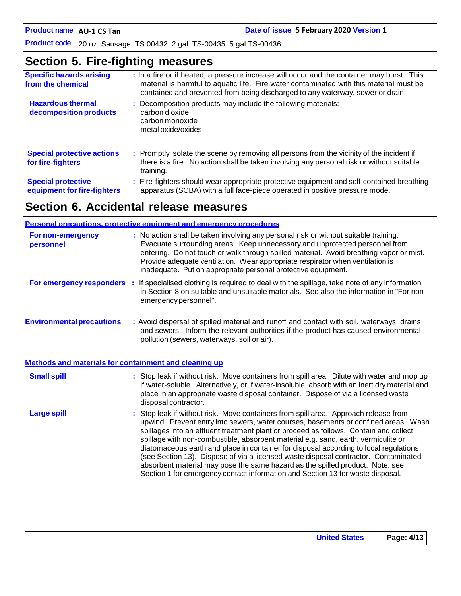# **Section 5. Fire-fighting measures**

| <b>Specific hazards arising</b><br>from the chemical     | : In a fire or if heated, a pressure increase will occur and the container may burst. This<br>material is harmful to aquatic life. Fire water contaminated with this material must be<br>contained and prevented from being discharged to any waterway, sewer or drain. |
|----------------------------------------------------------|-------------------------------------------------------------------------------------------------------------------------------------------------------------------------------------------------------------------------------------------------------------------------|
| <b>Hazardous thermal</b><br>decomposition products       | : Decomposition products may include the following materials:<br>carbon dioxide<br>carbon monoxide<br>metal oxide/oxides                                                                                                                                                |
| <b>Special protective actions</b><br>for fire-fighters   | : Promptly isolate the scene by removing all persons from the vicinity of the incident if<br>there is a fire. No action shall be taken involving any personal risk or without suitable<br>training.                                                                     |
| <b>Special protective</b><br>equipment for fire-fighters | : Fire-fighters should wear appropriate protective equipment and self-contained breathing<br>apparatus (SCBA) with a full face-piece operated in positive pressure mode.                                                                                                |

# **Section 6. Accidental release measures**

|                                                       | <b>Personal precautions, protective equipment and emergency procedures</b>                                                                                                                                                                                                                                                                                                                                                                                                                                                                                                                                                                                                                                   |
|-------------------------------------------------------|--------------------------------------------------------------------------------------------------------------------------------------------------------------------------------------------------------------------------------------------------------------------------------------------------------------------------------------------------------------------------------------------------------------------------------------------------------------------------------------------------------------------------------------------------------------------------------------------------------------------------------------------------------------------------------------------------------------|
| For non-emergency<br>personnel                        | : No action shall be taken involving any personal risk or without suitable training.<br>Evacuate surrounding areas. Keep unnecessary and unprotected personnel from<br>entering. Do not touch or walk through spilled material. Avoid breathing vapor or mist.<br>Provide adequate ventilation. Wear appropriate respirator when ventilation is<br>inadequate. Put on appropriate personal protective equipment.                                                                                                                                                                                                                                                                                             |
|                                                       | For emergency responders : If specialised clothing is required to deal with the spillage, take note of any information<br>in Section 8 on suitable and unsuitable materials. See also the information in "For non-<br>emergency personnel".                                                                                                                                                                                                                                                                                                                                                                                                                                                                  |
| <b>Environmental precautions</b>                      | : Avoid dispersal of spilled material and runoff and contact with soil, waterways, drains<br>and sewers. Inform the relevant authorities if the product has caused environmental<br>pollution (sewers, waterways, soil or air).                                                                                                                                                                                                                                                                                                                                                                                                                                                                              |
| Methods and materials for containment and cleaning up |                                                                                                                                                                                                                                                                                                                                                                                                                                                                                                                                                                                                                                                                                                              |
| <b>Small spill</b>                                    | : Stop leak if without risk. Move containers from spill area. Dilute with water and mop up<br>if water-soluble. Alternatively, or if water-insoluble, absorb with an inert dry material and<br>place in an appropriate waste disposal container. Dispose of via a licensed waste<br>disposal contractor.                                                                                                                                                                                                                                                                                                                                                                                                     |
| <b>Large spill</b>                                    | : Stop leak if without risk. Move containers from spill area. Approach release from<br>upwind. Prevent entry into sewers, water courses, basements or confined areas. Wash<br>spillages into an effluent treatment plant or proceed as follows. Contain and collect<br>spillage with non-combustible, absorbent material e.g. sand, earth, vermiculite or<br>diatomaceous earth and place in container for disposal according to local regulations<br>(see Section 13). Dispose of via a licensed waste disposal contractor. Contaminated<br>absorbent material may pose the same hazard as the spilled product. Note: see<br>Section 1 for emergency contact information and Section 13 for waste disposal. |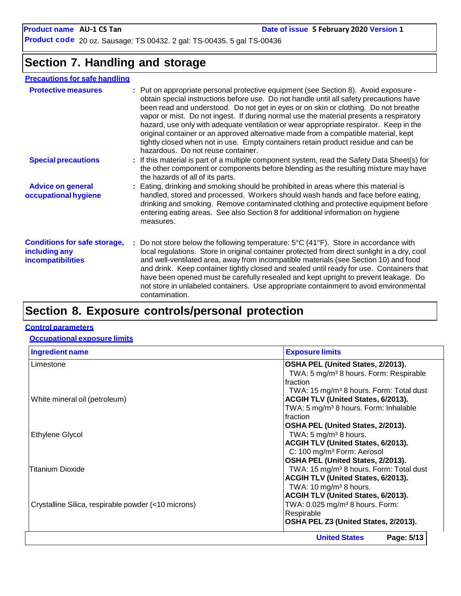# **Section 7. Handling and storage**

### **Precautions for safe handling**

| <b>Protective measures</b>                                                | : Put on appropriate personal protective equipment (see Section 8). Avoid exposure -<br>obtain special instructions before use. Do not handle until all safety precautions have<br>been read and understood. Do not get in eyes or on skin or clothing. Do not breathe<br>vapor or mist. Do not ingest. If during normal use the material presents a respiratory<br>hazard, use only with adequate ventilation or wear appropriate respirator. Keep in the<br>original container or an approved alternative made from a compatible material, kept<br>tightly closed when not in use. Empty containers retain product residue and can be<br>hazardous. Do not reuse container. |
|---------------------------------------------------------------------------|-------------------------------------------------------------------------------------------------------------------------------------------------------------------------------------------------------------------------------------------------------------------------------------------------------------------------------------------------------------------------------------------------------------------------------------------------------------------------------------------------------------------------------------------------------------------------------------------------------------------------------------------------------------------------------|
| <b>Special precautions</b>                                                | : If this material is part of a multiple component system, read the Safety Data Sheet(s) for<br>the other component or components before blending as the resulting mixture may have<br>the hazards of all of its parts.                                                                                                                                                                                                                                                                                                                                                                                                                                                       |
| <b>Advice on general</b><br>occupational hygiene                          | : Eating, drinking and smoking should be prohibited in areas where this material is<br>handled, stored and processed. Workers should wash hands and face before eating,<br>drinking and smoking. Remove contaminated clothing and protective equipment before<br>entering eating areas. See also Section 8 for additional information on hygiene<br>measures.                                                                                                                                                                                                                                                                                                                 |
| <b>Conditions for safe storage,</b><br>including any<br>incompatibilities | : Do not store below the following temperature: $5^{\circ}C(41^{\circ}F)$ . Store in accordance with<br>local regulations. Store in original container protected from direct sunlight in a dry, cool<br>and well-ventilated area, away from incompatible materials (see Section 10) and food<br>and drink. Keep container tightly closed and sealed until ready for use. Containers that<br>have been opened must be carefully resealed and kept upright to prevent leakage. Do<br>not store in unlabeled containers. Use appropriate containment to avoid environmental<br>contamination.                                                                                    |
|                                                                           |                                                                                                                                                                                                                                                                                                                                                                                                                                                                                                                                                                                                                                                                               |

# **Section 8. Exposure controls/personal protection**

#### **Control parameters**

#### **Occupational exposure limits**

| <b>Ingredient name</b>                              | <b>Exposure limits</b>                              |
|-----------------------------------------------------|-----------------------------------------------------|
| Limestone                                           | OSHA PEL (United States, 2/2013).                   |
|                                                     | TWA: 5 mg/m <sup>3</sup> 8 hours. Form: Respirable  |
|                                                     | Ifraction                                           |
|                                                     | TWA: 15 mg/m <sup>3</sup> 8 hours. Form: Total dust |
| White mineral oil (petroleum)                       | <b>ACGIH TLV (United States, 6/2013).</b>           |
|                                                     | TWA: 5 mg/m <sup>3</sup> 8 hours. Form: Inhalable   |
|                                                     | Ifraction                                           |
|                                                     | OSHA PEL (United States, 2/2013).                   |
| Ethylene Glycol                                     | TWA: $5 \text{ mg/m}^3$ 8 hours.                    |
|                                                     | <b>ACGIH TLV (United States, 6/2013).</b>           |
|                                                     | C: 100 mg/m <sup>3</sup> Form: Aerosol              |
|                                                     | OSHA PEL (United States, 2/2013).                   |
| <b>Titanium Dioxide</b>                             | TWA: 15 mg/m <sup>3</sup> 8 hours. Form: Total dust |
|                                                     | ACGIH TLV (United States, 6/2013).                  |
|                                                     | TWA: $10 \text{ mg/m}^3$ 8 hours.                   |
|                                                     | ACGIH TLV (United States, 6/2013).                  |
| Crystalline Silica, respirable powder (<10 microns) | TWA: 0.025 mg/m <sup>3</sup> 8 hours. Form:         |
|                                                     | Respirable                                          |
|                                                     | OSHA PEL Z3 (United States, 2/2013).                |
|                                                     | <b>United States</b><br>Page: 5/13                  |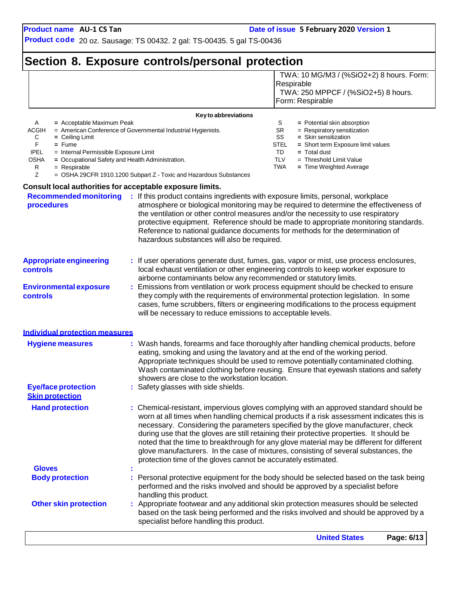### **Section 8. Exposure controls/personal protection** TWA: 10 MG/M3 / (%SiO2+2) 8 hours. Form:

|                                                                                                                                                                                                                                    |                                                                                                                                                                                                                      | Respirable<br>TWA: 250 MPPCF / (%SiO2+5) 8 hours.<br>Form: Respirable                                                                                                                                                                                                                                                                                                                                                                                                                                                                                 |
|------------------------------------------------------------------------------------------------------------------------------------------------------------------------------------------------------------------------------------|----------------------------------------------------------------------------------------------------------------------------------------------------------------------------------------------------------------------|-------------------------------------------------------------------------------------------------------------------------------------------------------------------------------------------------------------------------------------------------------------------------------------------------------------------------------------------------------------------------------------------------------------------------------------------------------------------------------------------------------------------------------------------------------|
|                                                                                                                                                                                                                                    | Key to abbreviations                                                                                                                                                                                                 |                                                                                                                                                                                                                                                                                                                                                                                                                                                                                                                                                       |
| A<br>= Acceptable Maximum Peak<br>ACGIH<br>С<br>$=$ Ceiling Limit<br>F<br>$=$ Fume<br><b>IPEL</b><br>= Internal Permissible Exposure Limit<br>= Occupational Safety and Health Administration.<br>OSHA<br>R<br>$=$ Respirable<br>Z | = American Conference of Governmental Industrial Hygienists.<br>= OSHA 29CFR 1910.1200 Subpart Z - Toxic and Hazardous Substances                                                                                    | S<br>= Potential skin absorption<br><b>SR</b><br>= Respiratory sensitization<br>SS<br>= Skin sensitization<br>STEL<br>= Short term Exposure limit values<br>TD<br>$=$ Total dust<br><b>TLV</b><br>$=$ Threshold Limit Value<br><b>TWA</b><br>= Time Weighted Average                                                                                                                                                                                                                                                                                  |
| Consult local authorities for acceptable exposure limits.                                                                                                                                                                          |                                                                                                                                                                                                                      |                                                                                                                                                                                                                                                                                                                                                                                                                                                                                                                                                       |
| <b>Recommended monitoring</b><br>procedures                                                                                                                                                                                        | : If this product contains ingredients with exposure limits, personal, workplace<br>the ventilation or other control measures and/or the necessity to use respiratory<br>hazardous substances will also be required. | atmosphere or biological monitoring may be required to determine the effectiveness of<br>protective equipment. Reference should be made to appropriate monitoring standards.<br>Reference to national guidance documents for methods for the determination of                                                                                                                                                                                                                                                                                         |
| <b>Appropriate engineering</b><br>controls                                                                                                                                                                                         | airborne contaminants below any recommended or statutory limits.                                                                                                                                                     | : If user operations generate dust, fumes, gas, vapor or mist, use process enclosures,<br>local exhaust ventilation or other engineering controls to keep worker exposure to                                                                                                                                                                                                                                                                                                                                                                          |
| <b>Environmental exposure</b><br>controls                                                                                                                                                                                          | will be necessary to reduce emissions to acceptable levels.                                                                                                                                                          | Emissions from ventilation or work process equipment should be checked to ensure<br>they comply with the requirements of environmental protection legislation. In some<br>cases, fume scrubbers, filters or engineering modifications to the process equipment                                                                                                                                                                                                                                                                                        |
| <b>Individual protection measures</b>                                                                                                                                                                                              |                                                                                                                                                                                                                      |                                                                                                                                                                                                                                                                                                                                                                                                                                                                                                                                                       |
| <b>Hygiene measures</b>                                                                                                                                                                                                            | eating, smoking and using the lavatory and at the end of the working period.<br>showers are close to the workstation location.                                                                                       | : Wash hands, forearms and face thoroughly after handling chemical products, before<br>Appropriate techniques should be used to remove potentially contaminated clothing.<br>Wash contaminated clothing before reusing. Ensure that eyewash stations and safety                                                                                                                                                                                                                                                                                       |
| <b>Eye/face protection</b><br><b>Skin protection</b>                                                                                                                                                                               | : Safety glasses with side shields.                                                                                                                                                                                  |                                                                                                                                                                                                                                                                                                                                                                                                                                                                                                                                                       |
| <b>Hand protection</b>                                                                                                                                                                                                             | protection time of the gloves cannot be accurately estimated.                                                                                                                                                        | : Chemical-resistant, impervious gloves complying with an approved standard should be<br>worn at all times when handling chemical products if a risk assessment indicates this is<br>necessary. Considering the parameters specified by the glove manufacturer, check<br>during use that the gloves are still retaining their protective properties. It should be<br>noted that the time to breakthrough for any glove material may be different for different<br>glove manufacturers. In the case of mixtures, consisting of several substances, the |
| <b>Gloves</b>                                                                                                                                                                                                                      |                                                                                                                                                                                                                      |                                                                                                                                                                                                                                                                                                                                                                                                                                                                                                                                                       |
| <b>Body protection</b>                                                                                                                                                                                                             | performed and the risks involved and should be approved by a specialist before<br>handling this product.                                                                                                             | Personal protective equipment for the body should be selected based on the task being                                                                                                                                                                                                                                                                                                                                                                                                                                                                 |
| <b>Other skin protection</b>                                                                                                                                                                                                       | specialist before handling this product.                                                                                                                                                                             | : Appropriate footwear and any additional skin protection measures should be selected<br>based on the task being performed and the risks involved and should be approved by a                                                                                                                                                                                                                                                                                                                                                                         |
|                                                                                                                                                                                                                                    |                                                                                                                                                                                                                      | <b>United States</b><br>Page: 6/13                                                                                                                                                                                                                                                                                                                                                                                                                                                                                                                    |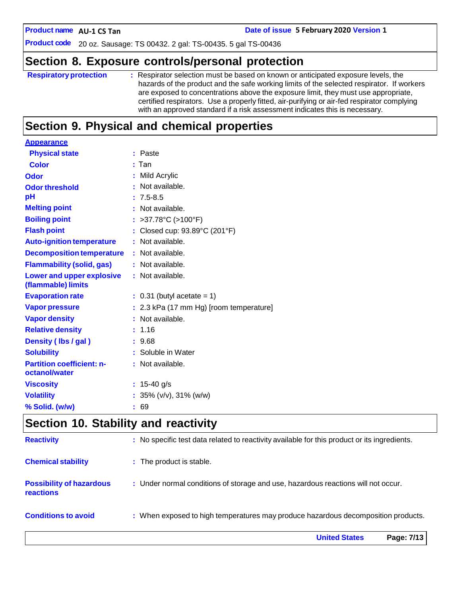**AU-1 CS Tan Date of issue 5 February 2020 Version 1**

**Product code** 20 oz. Sausage: TS 00432. 2 gal: TS-00435. 5 gal TS-00436

# **Section 8. Exposure controls/personal protection**

| are exposed to concentrations above the exposure limit, they must use appropriate, |                               | certified respirators. Use a properly fitted, air-purifying or air-fed respirator complying<br>with an approved standard if a risk assessment indicates this is necessary.<br>. |  |  |  |  |                                                                                   |  |
|------------------------------------------------------------------------------------|-------------------------------|---------------------------------------------------------------------------------------------------------------------------------------------------------------------------------|--|--|--|--|-----------------------------------------------------------------------------------|--|
|                                                                                    |                               | hazards of the product and the safe working limits of the selected respirator. If workers                                                                                       |  |  |  |  |                                                                                   |  |
|                                                                                    | <b>Respiratory protection</b> |                                                                                                                                                                                 |  |  |  |  | : Respirator selection must be based on known or anticipated exposure levels, the |  |

## **Section 9. Physical and chemical properties**

| <b>Appearance</b>                               |                                           |
|-------------------------------------------------|-------------------------------------------|
| <b>Physical state</b>                           | : Paste                                   |
| <b>Color</b>                                    | $:$ Tan                                   |
| <b>Odor</b>                                     | : Mild Acrylic                            |
| <b>Odor threshold</b>                           | : Not available.                          |
| pH                                              | $: 7.5 - 8.5$                             |
| <b>Melting point</b>                            | : Not available.                          |
| <b>Boiling point</b>                            | : >37.78 $^{\circ}$ C (>100 $^{\circ}$ F) |
| <b>Flash point</b>                              | Closed cup: 93.89°C (201°F)               |
| <b>Auto-ignition temperature</b>                | : Not available.                          |
| <b>Decomposition temperature</b>                | : Not available.                          |
| <b>Flammability (solid, gas)</b>                | : Not available.                          |
| Lower and upper explosive<br>(flammable) limits | : Not available.                          |
| <b>Evaporation rate</b>                         | $\therefore$ 0.31 (butyl acetate = 1)     |
| <b>Vapor pressure</b>                           | : 2.3 kPa (17 mm Hg) [room temperature]   |
| <b>Vapor density</b>                            | : Not available.                          |
| <b>Relative density</b>                         | : 1.16                                    |
| Density (Ibs / gal)                             | : 9.68                                    |
| <b>Solubility</b>                               | : Soluble in Water                        |
| <b>Partition coefficient: n-</b>                | : Not available.                          |
| octanol/water                                   |                                           |
| <b>Viscosity</b>                                | : $15-40$ g/s                             |
| <b>Volatility</b>                               | : $35\%$ (v/v), $31\%$ (w/w)              |
| % Solid. (w/w)                                  | : 69                                      |
|                                                 |                                           |

# **Section 10. Stability and reactivity**

|                                                     | <b>United States</b><br>Page: 7/13                                                           |
|-----------------------------------------------------|----------------------------------------------------------------------------------------------|
| <b>Conditions to avoid</b>                          | : When exposed to high temperatures may produce hazardous decomposition products.            |
| <b>Possibility of hazardous</b><br><b>reactions</b> | : Under normal conditions of storage and use, hazardous reactions will not occur.            |
| <b>Chemical stability</b>                           | : The product is stable.                                                                     |
| <b>Reactivity</b>                                   | : No specific test data related to reactivity available for this product or its ingredients. |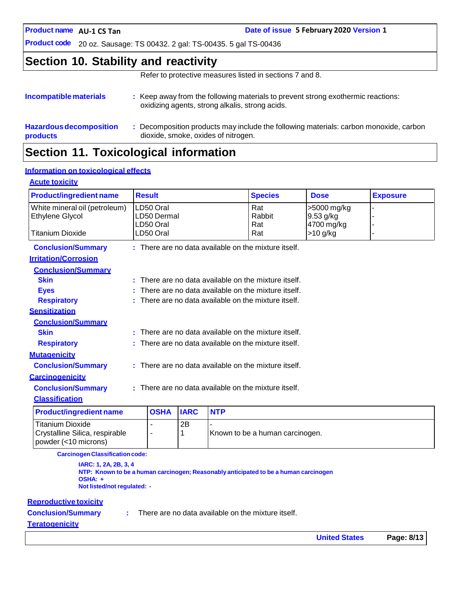**AU-1 CS Tan Date of issue 5 February 2020 Version 1**

**Product code** 20 oz. Sausage: TS 00432. 2 gal: TS-00435. 5 gal TS-00436

### **Section 10. Stability and reactivity**

Refer to protective measures listed in sections 7 and 8.

| Incompatible materials                            | : Keep away from the following materials to prevent strong exothermic reactions:<br>oxidizing agents, strong alkalis, strong acids. |
|---------------------------------------------------|-------------------------------------------------------------------------------------------------------------------------------------|
| <b>Hazardous decomposition</b><br><b>products</b> | Decomposition products may include the following materials: carbon monoxide, carbon<br>dioxide, smoke, oxides of nitrogen.          |

# **Section 11. Toxicological information**

### **Information on toxicological effects**

### **Acute toxicity**

| <b>Product/ingredient name</b>                         | <b>Result</b>                                          |                                                        |             |            | <b>Species</b>                                       | <b>Dose</b>                            | <b>Exposure</b> |
|--------------------------------------------------------|--------------------------------------------------------|--------------------------------------------------------|-------------|------------|------------------------------------------------------|----------------------------------------|-----------------|
| White mineral oil (petroleum)<br>Ethylene Glycol       |                                                        | LD50 Oral<br>LD50 Dermal<br>LD50 Oral                  |             |            | Rat<br>Rabbit<br>Rat                                 | >5000 mg/kg<br>9.53 g/kg<br>4700 mg/kg |                 |
| <b>Titanium Dioxide</b>                                |                                                        | LD50 Oral                                              |             |            | Rat                                                  | $>10$ g/kg                             |                 |
| <b>Conclusion/Summary</b>                              |                                                        |                                                        |             |            | : There are no data available on the mixture itself. |                                        |                 |
| <b>Irritation/Corrosion</b>                            |                                                        |                                                        |             |            |                                                      |                                        |                 |
| <b>Conclusion/Summary</b>                              |                                                        |                                                        |             |            |                                                      |                                        |                 |
| <b>Skin</b>                                            |                                                        |                                                        |             |            | : There are no data available on the mixture itself. |                                        |                 |
| <b>Eyes</b>                                            |                                                        |                                                        |             |            | There are no data available on the mixture itself.   |                                        |                 |
| <b>Respiratory</b>                                     |                                                        |                                                        |             |            | There are no data available on the mixture itself.   |                                        |                 |
| <b>Sensitization</b>                                   |                                                        |                                                        |             |            |                                                      |                                        |                 |
| <b>Conclusion/Summary</b>                              |                                                        |                                                        |             |            |                                                      |                                        |                 |
| <b>Skin</b>                                            |                                                        | There are no data available on the mixture itself.     |             |            |                                                      |                                        |                 |
| <b>Respiratory</b>                                     |                                                        | $:$ There are no data available on the mixture itself. |             |            |                                                      |                                        |                 |
| <b>Mutagenicity</b>                                    |                                                        |                                                        |             |            |                                                      |                                        |                 |
| <b>Conclusion/Summary</b>                              | : There are no data available on the mixture itself.   |                                                        |             |            |                                                      |                                        |                 |
| <b>Carcinogenicity</b>                                 |                                                        |                                                        |             |            |                                                      |                                        |                 |
| <b>Conclusion/Summary</b>                              | $:$ There are no data available on the mixture itself. |                                                        |             |            |                                                      |                                        |                 |
| <b>Classification</b>                                  |                                                        |                                                        |             |            |                                                      |                                        |                 |
| <b>Product/ingredient name</b>                         |                                                        | <b>OSHA</b>                                            | <b>IARC</b> | <b>NTP</b> |                                                      |                                        |                 |
| <b>Titanium Dioxide</b>                                |                                                        | ٠                                                      | 2B          |            |                                                      |                                        |                 |
| Crystalline Silica, respirable<br>powder (<10 microns) |                                                        | -                                                      | 1           |            | Known to be a human carcinogen.                      |                                        |                 |
| Construction Classification and a                      |                                                        |                                                        |             |            |                                                      |                                        |                 |

**CarcinogenClassificationcode:**

**IARC: 1, 2A, 2B, 3, 4 NTP: Known to be a human carcinogen; Reasonably anticipated to be a human carcinogen OSHA: + Not listed/not regulated: -**

#### **Reproductive toxicity**

**Conclusion/Summary :**

There are no data available on the mixture itself.

#### **Teratogenicity**

**United States Page: 8/13**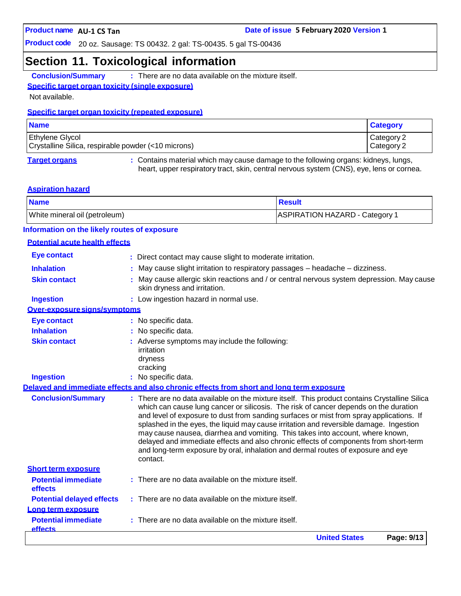### **Section 11. Toxicological information**

**Conclusion/Summary :** There are no data available on the mixture itself.

#### **Specific target organ toxicity (single exposure)**

Not available.

#### **Specific target organ toxicity (repeated exposure)**

| <b>Name</b>                                                                   | <b>Category</b>          |
|-------------------------------------------------------------------------------|--------------------------|
| <b>Ethylene Glycol</b><br>Crystalline Silica, respirable powder (<10 microns) | Category 2<br>Category 2 |
|                                                                               |                          |

**Target organs :** Contains material which may cause damage to the following organs: kidneys, lungs, heart, upper respiratory tract, skin, central nervous system (CNS), eye, lens or cornea.

#### **Aspiration hazard**

| <b>Name</b>                   | <b>⊩Result</b>                 |
|-------------------------------|--------------------------------|
| White mineral oil (petroleum) | ASPIRATION HAZARD - Category 1 |

#### **Information on the likely routes of exposure**

#### **Potential acute health effects**

|                                              | <b>United States</b><br>Page: 9/13                                                                                                                                                                                                                                                                                                                                                                                                                                                                                                                                                                                                       |
|----------------------------------------------|------------------------------------------------------------------------------------------------------------------------------------------------------------------------------------------------------------------------------------------------------------------------------------------------------------------------------------------------------------------------------------------------------------------------------------------------------------------------------------------------------------------------------------------------------------------------------------------------------------------------------------------|
| <b>Potential immediate</b><br><b>effects</b> | There are no data available on the mixture itself.                                                                                                                                                                                                                                                                                                                                                                                                                                                                                                                                                                                       |
| Long term exposure                           |                                                                                                                                                                                                                                                                                                                                                                                                                                                                                                                                                                                                                                          |
| <b>Potential delayed effects</b>             | : There are no data available on the mixture itself.                                                                                                                                                                                                                                                                                                                                                                                                                                                                                                                                                                                     |
| effects                                      |                                                                                                                                                                                                                                                                                                                                                                                                                                                                                                                                                                                                                                          |
| <b>Potential immediate</b>                   | $:$ There are no data available on the mixture itself.                                                                                                                                                                                                                                                                                                                                                                                                                                                                                                                                                                                   |
| <b>Short term exposure</b>                   | contact.                                                                                                                                                                                                                                                                                                                                                                                                                                                                                                                                                                                                                                 |
| <b>Conclusion/Summary</b>                    | : There are no data available on the mixture itself. This product contains Crystalline Silica<br>which can cause lung cancer or silicosis. The risk of cancer depends on the duration<br>and level of exposure to dust from sanding surfaces or mist from spray applications. If<br>splashed in the eyes, the liquid may cause irritation and reversible damage. Ingestion<br>may cause nausea, diarrhea and vomiting. This takes into account, where known,<br>delayed and immediate effects and also chronic effects of components from short-term<br>and long-term exposure by oral, inhalation and dermal routes of exposure and eye |
|                                              | Delaved and immediate effects and also chronic effects from short and long term exposure                                                                                                                                                                                                                                                                                                                                                                                                                                                                                                                                                 |
| <b>Ingestion</b>                             | : No specific data.                                                                                                                                                                                                                                                                                                                                                                                                                                                                                                                                                                                                                      |
|                                              | irritation<br>dryness<br>cracking                                                                                                                                                                                                                                                                                                                                                                                                                                                                                                                                                                                                        |
| <b>Skin contact</b>                          | : Adverse symptoms may include the following:                                                                                                                                                                                                                                                                                                                                                                                                                                                                                                                                                                                            |
| <b>Inhalation</b>                            | No specific data.                                                                                                                                                                                                                                                                                                                                                                                                                                                                                                                                                                                                                        |
| <b>Eye contact</b>                           | : No specific data.                                                                                                                                                                                                                                                                                                                                                                                                                                                                                                                                                                                                                      |
| Over-exposure signs/symptoms                 |                                                                                                                                                                                                                                                                                                                                                                                                                                                                                                                                                                                                                                          |
| <b>Ingestion</b>                             | : Low ingestion hazard in normal use.                                                                                                                                                                                                                                                                                                                                                                                                                                                                                                                                                                                                    |
| <b>Skin contact</b>                          | May cause allergic skin reactions and / or central nervous system depression. May cause<br>skin dryness and irritation.                                                                                                                                                                                                                                                                                                                                                                                                                                                                                                                  |
| <b>Inhalation</b>                            | May cause slight irritation to respiratory passages - headache - dizziness.                                                                                                                                                                                                                                                                                                                                                                                                                                                                                                                                                              |
| <b>Eye contact</b>                           | : Direct contact may cause slight to moderate irritation.                                                                                                                                                                                                                                                                                                                                                                                                                                                                                                                                                                                |
|                                              |                                                                                                                                                                                                                                                                                                                                                                                                                                                                                                                                                                                                                                          |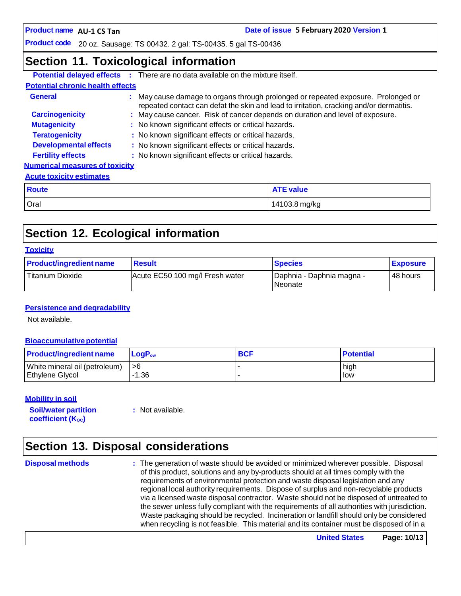**Date of issue 5 February 2020 Version 1** 

**Product code** 20 oz. Sausage: TS 00432. 2 gal: TS-00435. 5 gal TS-00436

### **Section 11. Toxicological information**

|                                         | <b>Potential delayed effects</b> : There are no data available on the mixture itself.                                                                                        |                  |  |  |  |
|-----------------------------------------|------------------------------------------------------------------------------------------------------------------------------------------------------------------------------|------------------|--|--|--|
| <b>Potential chronic health effects</b> |                                                                                                                                                                              |                  |  |  |  |
| <b>General</b>                          | : May cause damage to organs through prolonged or repeated exposure. Prolonged or<br>repeated contact can defat the skin and lead to irritation, cracking and/or dermatitis. |                  |  |  |  |
| <b>Carcinogenicity</b>                  | : May cause cancer. Risk of cancer depends on duration and level of exposure.                                                                                                |                  |  |  |  |
| <b>Mutagenicity</b>                     | : No known significant effects or critical hazards.                                                                                                                          |                  |  |  |  |
| <b>Teratogenicity</b>                   | : No known significant effects or critical hazards.                                                                                                                          |                  |  |  |  |
| <b>Developmental effects</b>            | : No known significant effects or critical hazards.                                                                                                                          |                  |  |  |  |
| <b>Fertility effects</b>                | : No known significant effects or critical hazards.                                                                                                                          |                  |  |  |  |
| <b>Numerical measures of toxicity</b>   |                                                                                                                                                                              |                  |  |  |  |
| <b>Acute toxicity estimates</b>         |                                                                                                                                                                              |                  |  |  |  |
| <b>Route</b>                            |                                                                                                                                                                              | <b>ATE value</b> |  |  |  |
| Oral                                    |                                                                                                                                                                              | 14103.8 mg/kg    |  |  |  |

# **Section 12. Ecological information**

| <b>Product/ingredient name</b> | <b>Result</b>                   | <b>Species</b>                         | <b>Exposure</b> |
|--------------------------------|---------------------------------|----------------------------------------|-----------------|
| Titanium Dioxide               | Acute EC50 100 mg/l Fresh water | Daphnia - Daphnia magna -<br>l Neonate | 48 hours        |

#### **Persistence and degradability**

Not available.

#### **Bioaccumulative potential**

| <b>Product/ingredient name</b> | $LoaPow$ | <b>BCF</b> | <b>Potential</b> |
|--------------------------------|----------|------------|------------------|
| White mineral oil (petroleum)  | l >6     |            | high             |
| Ethylene Glycol                | -1.36    |            | low              |

#### **Mobility in soil**

**Soil/water partition coefficient** (K<sub>oc</sub>)

**:** Not available.

# **Section 13. Disposal considerations**

**Disposal methods :** The generation of waste should be avoided or minimized wherever possible. Disposal of this product, solutions and any by-products should at all times comply with the requirements of environmental protection and waste disposal legislation and any regional local authority requirements. Dispose of surplus and non-recyclable products via a licensed waste disposal contractor. Waste should not be disposed of untreated to the sewer unless fully compliant with the requirements of all authorities with jurisdiction. Waste packaging should be recycled. Incineration or landfill should only be considered when recycling is not feasible. This material and its container must be disposed of in a

**United States Page: 10/13**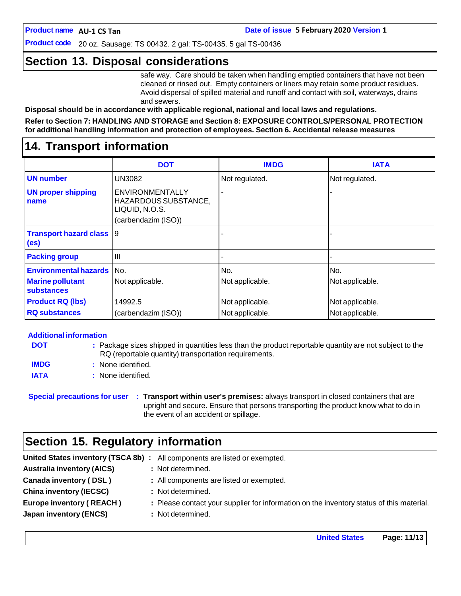**Product code** 20 oz. Sausage: TS 00432. 2 gal: TS-00435. 5 gal TS-00436

### **Section 13. Disposal considerations**

safe way. Care should be taken when handling emptied containers that have not been cleaned or rinsed out. Empty containers or liners may retain some product residues. Avoid dispersal of spilled material and runoff and contact with soil, waterways, drains and sewers.

**Disposal should be in accordance with applicable regional, national and local laws and regulations.**

**Refer to Section 7: HANDLING AND STORAGE and Section 8: EXPOSURE CONTROLS/PERSONAL PROTECTION for additional handling information and protection of employees. Section 6. Accidental release measures**

### **14. Transport information**

|                                                      | <b>DOT</b>                                                                              | <b>IMDG</b>     | <b>IATA</b>     |
|------------------------------------------------------|-----------------------------------------------------------------------------------------|-----------------|-----------------|
| <b>UN</b> number                                     | UN3082                                                                                  | Not regulated.  | Not regulated.  |
| <b>UN proper shipping</b><br>name                    | <b>ENVIRONMENTALLY</b><br>HAZARDOUS SUBSTANCE,<br>LIQUID, N.O.S.<br>(carbendazim (ISO)) |                 |                 |
| <b>Transport hazard class</b> 9<br>(e <sub>s</sub> ) |                                                                                         |                 |                 |
| <b>Packing group</b>                                 | III                                                                                     |                 |                 |
| <b>Environmental hazards</b> No.                     |                                                                                         | No.             | No.             |
| <b>Marine pollutant</b><br>substances                | Not applicable.                                                                         | Not applicable. | Not applicable. |
| <b>Product RQ (lbs)</b>                              | 14992.5                                                                                 | Not applicable. | Not applicable. |
| <b>RQ substances</b>                                 | (carbendazim (ISO))                                                                     | Not applicable. | Not applicable. |

#### **Additional information**

| <b>DOT</b>  | : Package sizes shipped in quantities less than the product reportable quantity are not subject to the |
|-------------|--------------------------------------------------------------------------------------------------------|
|             | RQ (reportable quantity) transportation requirements.                                                  |
| <b>IMDG</b> | : None identified.                                                                                     |
| <b>IATA</b> | : None identified.                                                                                     |

**Special precautions for user : Transport within user's premises:** always transport in closed containers that are upright and secure. Ensure that persons transporting the product know what to do in the event of an accident or spillage.

### **Section 15. Regulatory information**

|                                   | United States inventory (TSCA 8b) : All components are listed or exempted.               |
|-----------------------------------|------------------------------------------------------------------------------------------|
| <b>Australia inventory (AICS)</b> | : Not determined.                                                                        |
| Canada inventory (DSL)            | : All components are listed or exempted.                                                 |
| <b>China inventory (IECSC)</b>    | : Not determined.                                                                        |
| <b>Europe inventory (REACH)</b>   | : Please contact your supplier for information on the inventory status of this material. |
| Japan inventory (ENCS)            | : Not determined.                                                                        |

**United States Page: 11/13**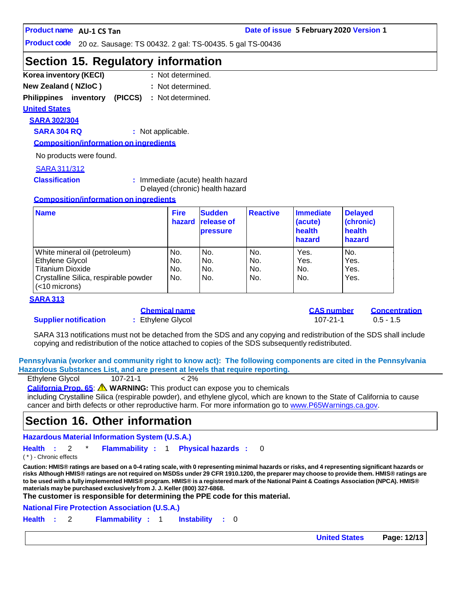**Product code** 20 oz. Sausage: TS 00432. 2 gal: TS-00435. 5 gal TS-00436

### **Section 15. Regulatory information**

- **Korea inventory (KECI) : New Zealand ( NZIoC ) :** : Not determined. : Not determined.
- 
- **Philippines inventory (PICCS) :** Not determined.

#### **United States**

**SARA 302/304**

**SARA 304 RQ :** Not applicable.

**Composition/information on ingredients**

No products were found.

#### SARA311/312

**Classification :** Immediate (acute) health hazard D elayed (chronic) health hazard

#### **Composition/information on ingredients**

| <b>Name</b>                                               | <b>Fire</b><br>hazard | <b>Sudden</b><br>release of<br><b>pressure</b> | <b>Reactive</b> | Immediate<br>(acute)<br>health<br>hazard | <b>Delayed</b><br>(chronic)<br>health<br>hazard |
|-----------------------------------------------------------|-----------------------|------------------------------------------------|-----------------|------------------------------------------|-------------------------------------------------|
| White mineral oil (petroleum)                             | No.                   | No.                                            | No.             | Yes.                                     | No.                                             |
| Ethylene Glycol                                           | No.                   | No.                                            | No.             | Yes.                                     | Yes.                                            |
| <b>Titanium Dioxide</b>                                   | No.                   | No.                                            | No.             | No.                                      | Yes.                                            |
| Crystalline Silica, respirable powder<br>$(<$ 10 microns) | No.                   | No.                                            | No.             | No.                                      | Yes.                                            |

#### **SARA 313**

#### **Supplier notification :** Ethylene Glycol 107-21-1 0.5 - 1.5

| Chemical name   |  |  |  |
|-----------------|--|--|--|
| Ethylene Glycol |  |  |  |

**Chemical name CAS number Concentration**

SARA 313 notifications must not be detached from the SDS and any copying and redistribution of the SDS shall include copying and redistribution of the notice attached to copies of the SDS subsequently redistributed.

**Pennsylvania (worker and community right to know act): The following components are cited in the Pennsylvania Hazardous Substances List, and are present at levels that require reporting.**

| Ethylene Glycol | $107 - 21 - 1$ | $< 2\%$ |
|-----------------|----------------|---------|
|                 |                |         |

**California Prop. 65**: **WARNING:** This product can expose you to chemicals

including Crystalline Silica (respirable powder), and ethylene glycol, which are known to the State of California to cause cancer and birth defects or other reproductive harm. For more information go to [www.P65Warnings.ca.gov.](http://www.p65warnings.ca.gov/)

### **Section 16. Other information**

**Hazardous Material Information System (U.S.A.)**

**Health :** 2 \* **Flammability :** 1 **Physical hazards :** 0

( \* ) - Chronic effects

Caution: HMIS® ratings are based on a 0-4 rating scale, with 0 representing minimal hazards or risks, and 4 representing significant hazards or risks Although HMIS® ratings are not required on MSDSs under 29 CFR 1910.1200, the preparer may choose to provide them. HMIS® ratings are to be used with a fully implemented HMIS® program. HMIS® is a registered mark of the National Paint & Coatings Association (NPCA). HMIS® **materials maybe purchased exclusively from J. J. Keller (800) 327-6868.**

**The customer is responsible for determining the PPE code for this material.**

**National Fire Protection Association (U.S.A.)**

**Health :** 2 **Flammability :** 1 **Instability :** 0

**United States Page: 12/13**